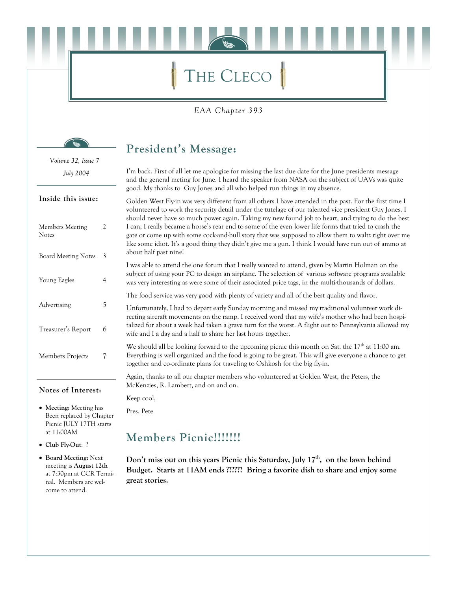# THE CLECO

### EAA Chapter 393

### President's Message:

I'm back. First of all let me apologize for missing the last due date for the June presidents message and the general meting for June. I heard the speaker from NASA on the subject of UAVs was quite good. My thanks to Guy Jones and all who helped run things in my absence.

Golden West Fly-in was very different from all others I have attended in the past. For the first time I volunteered to work the security detail under the tutelage of our talented vice president Guy Jones. I should never have so much power again. Taking my new found job to heart, and trying to do the best I can, I really became a horse's rear end to some of the even lower life forms that tried to crash the gate or come up with some cock-and-bull story that was supposed to allow them to waltz right over me like some idiot. It's a good thing they didn't give me a gun. I think I would have run out of ammo at about half past nine!

I was able to attend the one forum that I really wanted to attend, given by Martin Holman on the subject of using your PC to design an airplane. The selection of various software programs available was very interesting as were some of their associated price tags, in the multi-thousands of dollars.

The food service was very good with plenty of variety and all of the best quality and flavor.

Unfortunately, I had to depart early Sunday morning and missed my traditional volunteer work directing aircraft movements on the ramp. I received word that my wife's mother who had been hospitalized for about a week had taken a grave turn for the worst. A flight out to Pennsylvania allowed my wife and I a day and a half to share her last hours together.

We should all be looking forward to the upcoming picnic this month on Sat, the  $17<sup>th</sup>$  at 11:00 am. Everything is well organized and the food is going to be great. This will give everyone a chance to get together and co-ordinate plans for traveling to Oshkosh for the big fly-in.

Again, thanks to all our chapter members who volunteered at Golden West, the Peters, the McKenzies, R. Lambert, and on and on.

Keep cool,

Pres. Pete

### **Members Picnic!!!!!!!**

Don't miss out on this years Picnic this Saturday, July 17<sup>th</sup>, on the lawn behind Budget. Starts at 11AM ends ?????? Bring a favorite dish to share and enjoy some great stories.

Volume 32, Issue 7 July 2004

#### Inside this issue:

| 2 |
|---|
| 3 |
| 4 |
| 5 |
| 6 |
| 7 |
|   |

#### Notes of Interest:

- Meeting: Meeting has Been replaced by Chapter Picnic JULY 17TH starts at 11:00AM
- Club Fly-Out: ?
- Board Meeting: Next meeting is August 12th at 7:30pm at CCR Terminal. Members are welcome to attend.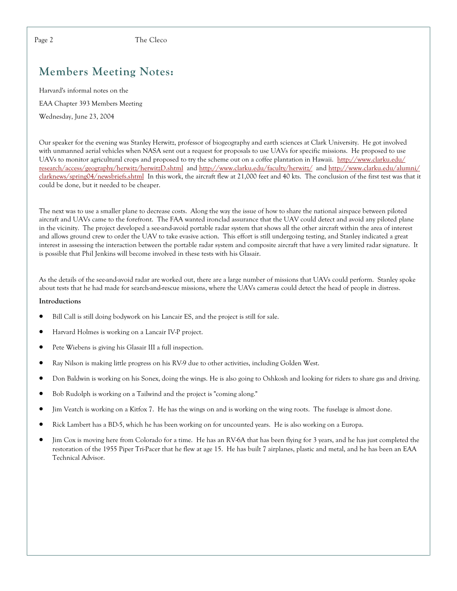The Cleco

# **Members Meeting Notes:**

Harvard's informal notes on the EAA Chapter 393 Members Meeting Wednesday, June 23, 2004

Our speaker for the evening was Stanley Herwitz, professor of biogeography and earth sciences at Clark University. He got involved with unmanned aerial vehicles when NASA sent out a request for proposals to use UAVs for specific missions. He proposed to use UAVs to monitor agricultural crops and proposed to try the scheme out on a coffee plantation in Hawaii. http://www.clarku.edu/ research/access/geography/herwitz/herwitzD.shtml and http://www.clarku.edu/faculty/herwitz/ and http://www.clarku.edu/alumni/ clarknews/spring04/newsbriefs.shtml In this work, the aircraft flew at 21,000 feet and 40 kts. The conclusion of the first test was that it could be done, but it needed to be cheaper.

The next was to use a smaller plane to decrease costs. Along the way the issue of how to share the national airspace between piloted aircraft and UAVs came to the forefront. The FAA wanted ironclad assurance that the UAV could detect and avoid any piloted plane in the vicinity. The project developed a see-and-avoid portable radar system that shows all the other aircraft within the area of interest and allows ground crew to order the UAV to take evasive action. This effort is still undergoing testing, and Stanley indicated a great interest in assessing the interaction between the portable radar system and composite aircraft that have a very limited radar signature. It is possible that Phil Jenkins will become involved in these tests with his Glasair.

As the details of the see-and-avoid radar are worked out, there are a large number of missions that UAVs could perform. Stanley spoke about tests that he had made for search-and-rescue missions, where the UAVs cameras could detect the head of people in distress.

#### Introductions

- Bill Call is still doing bodywork on his Lancair ES, and the project is still for sale.  $\bullet$
- $\bullet$ Harvard Holmes is working on a Lancair IV-P project.
- $\bullet$ Pete Wiebens is giving his Glasair III a full inspection.
- $\bullet$ Ray Nilson is making little progress on his RV-9 due to other activities, including Golden West.
- Don Baldwin is working on his Sonex, doing the wings. He is also going to Oshkosh and looking for riders to share gas and driving.
- Bob Rudolph is working on a Tailwind and the project is "coming along."
- Jim Veatch is working on a Kitfox 7. He has the wings on and is working on the wing roots. The fuselage is almost done.
- Rick Lambert has a BD-5, which he has been working on for uncounted years. He is also working on a Europa.
- Jim Cox is moving here from Colorado for a time. He has an RV-6A that has been flying for 3 years, and he has just completed the restoration of the 1955 Piper Tri-Pacer that he flew at age 15. He has built 7 airplanes, plastic and metal, and he has been an EAA Technical Advisor.

Page 2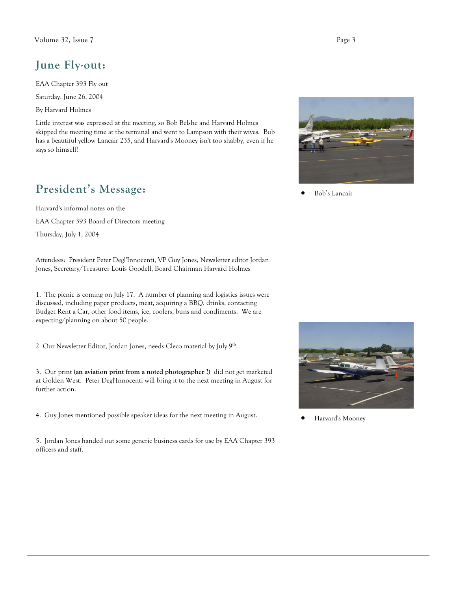#### Volume 32, Issue 7

### June Fly-out:

EAA Chapter 393 Fly out

Saturday, June 26, 2004

By Harvard Holmes

Little interest was expressed at the meeting, so Bob Belshe and Harvard Holmes skipped the meeting time at the terminal and went to Lampson with their wives. Bob has a beautiful yellow Lancair 235, and Harvard's Mooney isn't too shabby, even if he says so himself!

### President's Message:

Harvard's informal notes on the

EAA Chapter 393 Board of Directors meeting

Thursday, July 1, 2004

Attendees: President Peter Degl'Innocenti, VP Guy Jones, Newsletter editor Jordan Jones, Secretary/Treasurer Louis Goodell, Board Chairman Harvard Holmes

1. The picnic is coming on July 17. A number of planning and logistics issues were discussed, including paper products, meat, acquiring a BBQ, drinks, contacting Budget Rent a Car, other food items, ice, coolers, buns and condiments. We are expecting/planning on about 50 people.

2 Our Newsletter Editor, Jordan Jones, needs Cleco material by July 9<sup>th</sup>.

3. Our print (an aviation print from a noted photographer ?) did not get marketed at Golden West. Peter Degl'Innocenti will bring it to the next meeting in August for further action.

4. Guy Jones mentioned possible speaker ideas for the next meeting in August.

5. Jordan Jones handed out some generic business cards for use by EAA Chapter 393 officers and staff.



Bob's Lancair



Harvard's Mooney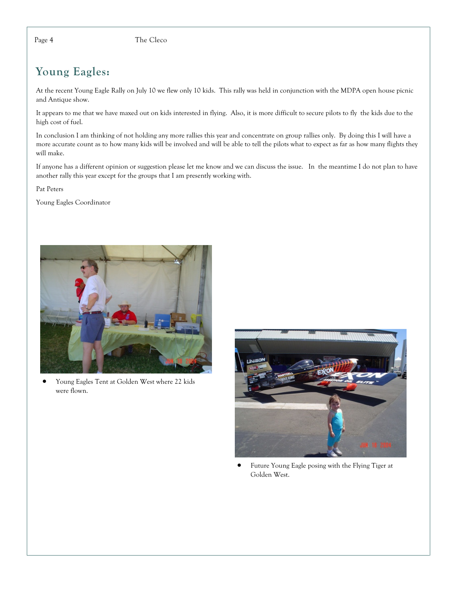### The Cleco

# Young Eagles:

At the recent Young Eagle Rally on July 10 we flew only 10 kids. This rally was held in conjunction with the MDPA open house picnic and Antique show.

It appears to me that we have maxed out on kids interested in flying. Also, it is more difficult to secure pilots to fly the kids due to the high cost of fuel.

In conclusion I am thinking of not holding any more rallies this year and concentrate on group rallies only. By doing this I will have a more accurate count as to how many kids will be involved and will be able to tell the pilots what to expect as far as how many flights they will make.

If anyone has a different opinion or suggestion please let me know and we can discuss the issue. In the meantime I do not plan to have another rally this year except for the groups that I am presently working with.

Pat Peters

Young Eagles Coordinator



Young Eagles Tent at Golden West where 22 kids  $\bullet$ were flown.



 $\bullet$ Future Young Eagle posing with the Flying Tiger at Golden West.

Page 4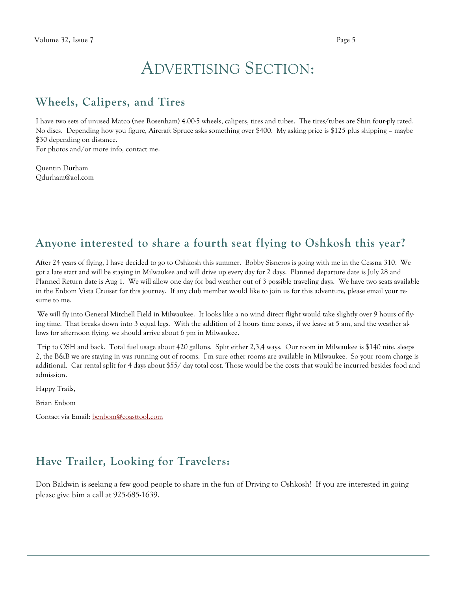# **ADVERTISING SECTION:**

# Wheels, Calipers, and Tires

I have two sets of unused Matco (nee Rosenham) 4.00-5 wheels, calipers, tires and tubes. The tires/tubes are Shin four-ply rated. No discs. Depending how you figure, Aircraft Spruce asks something over \$400. My asking price is \$125 plus shipping – maybe \$30 depending on distance.

For photos and/or more info, contact me:

Quentin Durham Odurham@aol.com

# Anyone interested to share a fourth seat flying to Oshkosh this year?

After 24 years of flying, I have decided to go to Oshkosh this summer. Bobby Sisneros is going with me in the Cessna 310. We got a late start and will be staying in Milwaukee and will drive up every day for 2 days. Planned departure date is July 28 and Planned Return date is Aug 1. We will allow one day for bad weather out of 3 possible traveling days. We have two seats available in the Enbom Vista Cruiser for this journey. If any club member would like to join us for this adventure, please email your resume to me.

We will fly into General Mitchell Field in Milwaukee. It looks like a no wind direct flight would take slightly over 9 hours of flying time. That breaks down into 3 equal legs. With the addition of 2 hours time zones, if we leave at 5 am, and the weather allows for afternoon flying, we should arrive about 6 pm in Milwaukee.

Trip to OSH and back. Total fuel usage about 420 gallons. Split either 2,3,4 ways. Our room in Milwaukee is \$140 nite, sleeps 2, the B&B we are staying in was running out of rooms. I'm sure other rooms are available in Milwaukee. So your room charge is additional. Car rental split for 4 days about \$55/ day total cost. Those would be the costs that would be incurred besides food and admission.

Happy Trails,

Brian Enbom

Contact via Email: benbom@coasttool.com

# Have Trailer, Looking for Travelers:

Don Baldwin is seeking a few good people to share in the fun of Driving to Oshkosh! If you are interested in going please give him a call at 925-685-1639.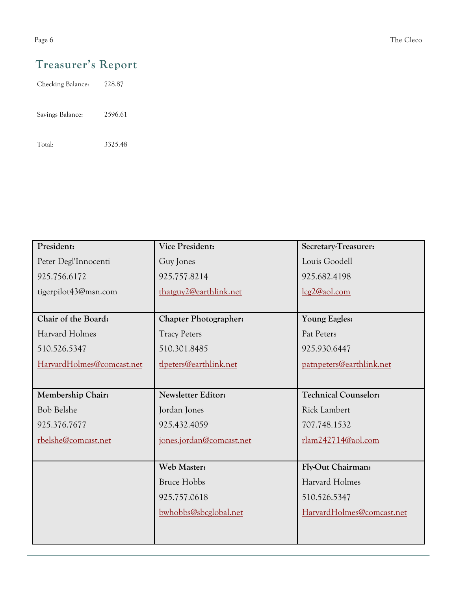# Treasurer's Report

Checking Balance: 728.87

Savings Balance: 2596.61

Total: 3325.48

| President:                | <b>Vice President:</b>       | Secretary-Treasurer:        |
|---------------------------|------------------------------|-----------------------------|
| Peter Degl'Innocenti      | Guy Jones                    | Louis Goodell               |
| 925.756.6172              | 925.757.8214                 | 925.682.4198                |
| tigerpilot43@msn.com      | thatguy2@earthlink.net       | lcg2@aol.com                |
|                           |                              |                             |
| Chair of the Board:       | <b>Chapter Photographer:</b> | <b>Young Eagles:</b>        |
| Harvard Holmes            | <b>Tracy Peters</b>          | Pat Peters                  |
| 510.526.5347              | 510.301.8485                 | 925.930.6447                |
| HarvardHolmes@comcast.net | tlpeters@earthlink.net       | patnpeters@earthlink.net    |
|                           |                              |                             |
| Membership Chair:         | <b>Newsletter Editor:</b>    | <b>Technical Counselor:</b> |
| <b>Bob Belshe</b>         | Jordan Jones                 | <b>Rick Lambert</b>         |
| 925.376.7677              | 925.432.4059                 | 707.748.1532                |
| rbelshe@comcast.net       | jones.jordan@comcast.net     | $r$ lam $242714@$ aol.com   |
|                           |                              |                             |
|                           | Web Master:                  | Fly-Out Chairman:           |
|                           | <b>Bruce Hobbs</b>           | Harvard Holmes              |
|                           | 925.757.0618                 | 510.526.5347                |
|                           | bwhobbs@sbcglobal.net        | HarvardHolmes@comcast.net   |
|                           |                              |                             |
|                           |                              |                             |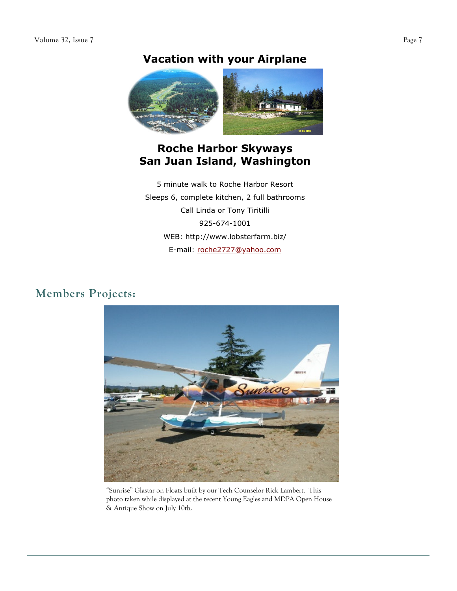### Volume 32, Issue 7

# **Vacation with your Airplane**



### **Roche Harbor Skyways** San Juan Island, Washington

5 minute walk to Roche Harbor Resort Sleeps 6, complete kitchen, 2 full bathrooms Call Linda or Tony Tiritilli 925-674-1001 WEB: http://www.lobsterfarm.biz/ E-mail: roche2727@yahoo.com

# Members Projects:



"Sunrise" Glastar on Floats built by our Tech Counselor Rick Lambert. This photo taken while displayed at the recent Young Eagles and MDPA Open House & Antique Show on July 10th.